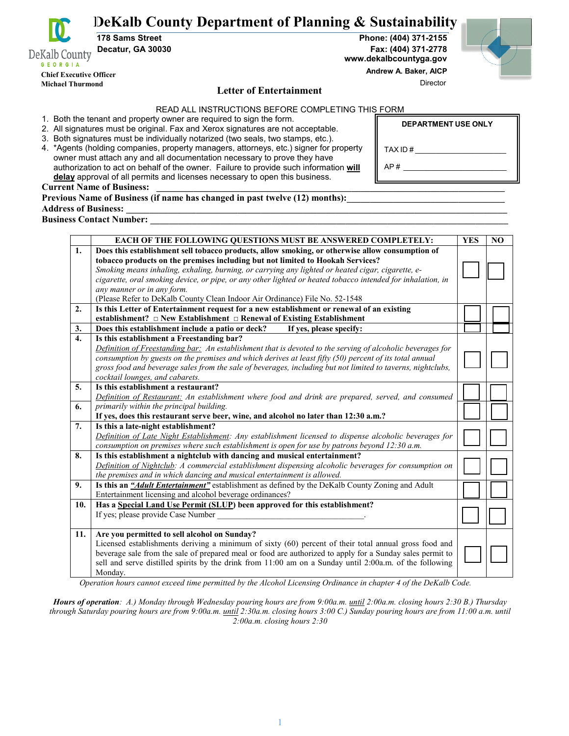**DeKalb County Department of Planning & Sustainability**

**GEORGIA Chief Executive Officer Michael Thurmond** 

DeKalb County

#### **Letter of Entertainment**

READ ALL INSTRUCTIONS BEFORE COMPLETING THIS FORM

1. Both the tenant and property owner are required to sign the form.

- 2. All signatures must be original. Fax and Xerox signatures are not acceptable.
- 3. Both signatures must be individually notarized (two seals, two stamps, etc.).
- 4. \*Agents (holding companies, property managers, attorneys, etc.) signer for property owner must attach any and all documentation necessary to prove they have authorization to act on behalf of the owner. Failure to provide such information **will delay** approval of all permits and licenses necessary to open this business.

**Current Name of Business:** 

| Previous Name of Business (if name has changed in past twelve (12) months): |  |  |
|-----------------------------------------------------------------------------|--|--|
|                                                                             |  |  |

### **Address of Business: \_\_\_\_\_\_\_\_\_\_\_\_\_\_\_\_\_\_\_\_\_\_\_\_\_\_\_\_\_\_\_\_\_\_\_\_\_\_\_\_\_\_\_\_\_\_\_\_\_\_\_\_\_\_\_\_\_\_\_\_\_\_\_\_\_\_\_\_\_\_\_\_\_\_\_\_\_\_\_\_\_\_**

**Business Contact Number:** 

|     | EACH OF THE FOLLOWING QUESTIONS MUST BE ANSWERED COMPLETELY:                                                | <b>YES</b> | N <sub>O</sub> |
|-----|-------------------------------------------------------------------------------------------------------------|------------|----------------|
| 1.  | Does this establishment sell tobacco products, allow smoking, or otherwise allow consumption of             |            |                |
|     | tobacco products on the premises including but not limited to Hookah Services?                              |            |                |
|     | Smoking means inhaling, exhaling, burning, or carrying any lighted or heated cigar, cigarette, e-           |            |                |
|     | cigarette, oral smoking device, or pipe, or any other lighted or heated tobacco intended for inhalation, in |            |                |
|     | any manner or in any form.                                                                                  |            |                |
|     | (Please Refer to DeKalb County Clean Indoor Air Ordinance) File No. 52-1548                                 |            |                |
| 2.  | Is this Letter of Entertainment request for a new establishment or renewal of an existing                   |            |                |
|     | establishment? $\Box$ New Establishment $\Box$ Renewal of Existing Establishment                            |            |                |
| 3.  | Does this establishment include a patio or deck?<br>If yes, please specify:                                 |            |                |
| 4.  | Is this establishment a Freestanding bar?                                                                   |            |                |
|     | Definition of Freestanding bar: An establishment that is devoted to the serving of alcoholic beverages for  |            |                |
|     | consumption by guests on the premises and which derives at least fifty (50) percent of its total annual     |            |                |
|     | gross food and beverage sales from the sale of beverages, including but not limited to taverns, nightclubs, |            |                |
|     | cocktail lounges, and cabarets.                                                                             |            |                |
| 5.  | Is this establishment a restaurant?                                                                         |            |                |
|     | Definition of Restaurant: An establishment where food and drink are prepared, served, and consumed          |            |                |
| 6.  | primarily within the principal building.                                                                    |            |                |
|     | If yes, does this restaurant serve beer, wine, and alcohol no later than 12:30 a.m.?                        |            |                |
| 7.  | Is this a late-night establishment?                                                                         |            |                |
|     | Definition of Late Night Establishment: Any establishment licensed to dispense alcoholic beverages for      |            |                |
|     | consumption on premises where such establishment is open for use by patrons beyond 12:30 a.m.               |            |                |
| 8.  | Is this establishment a nightclub with dancing and musical entertainment?                                   |            |                |
|     | Definition of Nightclub: A commercial establishment dispensing alcoholic beverages for consumption on       |            |                |
|     | the premises and in which dancing and musical entertainment is allowed.                                     |            |                |
| 9.  | Is this an "Adult Entertainment" establishment as defined by the DeKalb County Zoning and Adult             |            |                |
|     | Entertainment licensing and alcohol beverage ordinances?                                                    |            |                |
| 10. | Has a Special Land Use Permit (SLUP) been approved for this establishment?                                  |            |                |
|     | If yes; please provide Case Number                                                                          |            |                |
|     |                                                                                                             |            |                |
| 11. | Are you permitted to sell alcohol on Sunday?                                                                |            |                |
|     | Licensed establishments deriving a minimum of sixty (60) percent of their total annual gross food and       |            |                |
|     | beverage sale from the sale of prepared meal or food are authorized to apply for a Sunday sales permit to   |            |                |
|     | sell and serve distilled spirits by the drink from 11:00 am on a Sunday until 2:00a.m. of the following     |            |                |
|     | Monday.                                                                                                     |            |                |

 *Operation hours cannot exceed time permitted by the Alcohol Licensing Ordinance in chapter 4 of the DeKalb Code.*

*Hours of operation: A.) Monday through Wednesday pouring hours are from 9:00a.m. until 2:00a.m. closing hours 2:30 B.) Thursday through Saturday pouring hours are from 9:00a.m. until 2:30a.m. closing hours 3:00 C.) Sunday pouring hours are from 11:00 a.m. until 2:00a.m. closing hours 2:30*

**178 Sams Street Phone: (404) 371-2155 Decatur, GA 30030 Fax: (404) 371-2778 www.dekalbcountyga.gov**

 **Andrew A. Baker, AICP**

AP # \_\_\_\_\_\_\_\_\_\_\_\_\_\_\_\_\_\_\_\_\_\_\_\_\_

Director

TAX ID  $#$ 

**DEPARTMENT USE ONLY**

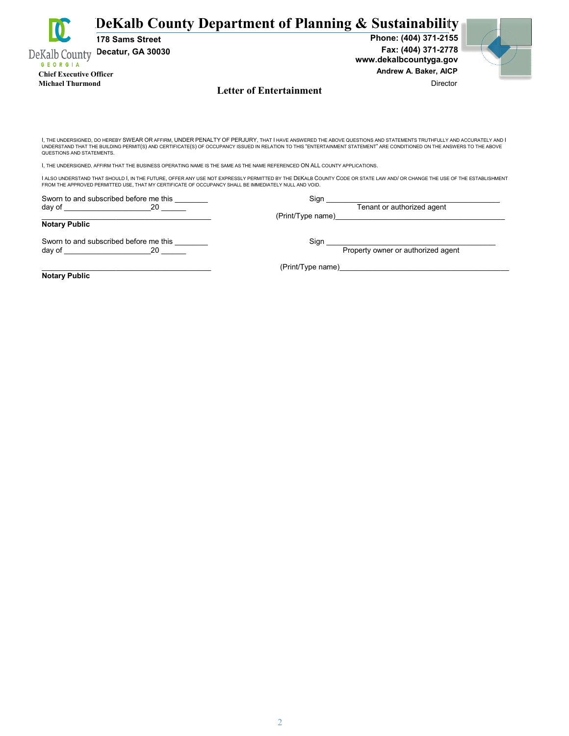|                                 | 178 Sams Street   | DeKalb County Department of Planning & Sustainability<br>Phone: (404) 371-2155                                                                                                                                                                                                                                                              |
|---------------------------------|-------------------|---------------------------------------------------------------------------------------------------------------------------------------------------------------------------------------------------------------------------------------------------------------------------------------------------------------------------------------------|
| DeKalb County<br><b>GEORGIA</b> | Decatur, GA 30030 | Fax: (404) 371-2778<br>www.dekalbcountyga.gov                                                                                                                                                                                                                                                                                               |
| <b>Chief Executive Officer</b>  |                   | Andrew A. Baker, AICP                                                                                                                                                                                                                                                                                                                       |
| <b>Michael Thurmond</b>         |                   | Director<br><b>Letter of Entertainment</b>                                                                                                                                                                                                                                                                                                  |
|                                 |                   |                                                                                                                                                                                                                                                                                                                                             |
|                                 |                   |                                                                                                                                                                                                                                                                                                                                             |
| QUESTIONS AND STATEMENTS.       |                   | I, THE UNDERSIGNED, DO HEREBY SWEAR OR AFFIRM, UNDER PENALTY OF PERJURY, THAT I HAVE ANSWERED THE ABOVE QUESTIONS AND STATEMENTS TRUTHFULLY AND ACCURATELY AND I<br>UNDERSTAND THAT THE BUILDING PERMIT(S) AND CERTIFICATE(S) OF OCCUPANCY ISSUED IN RELATION TO THIS "ENTERTAINMENT STATEMENT" ARE CONDITIONED ON THE ANSWERS TO THE ABOVE |

I, THE UNDERSIGNED, AFFIRM THAT THE BUSINESS OPERATING NAME IS THE SAME AS THE NAME REFERENCED ON ALL COUNTY APPLICATIONS.

I ALSO UNDERSTAND THAT SHOULD I, IN THE FUTURE, OFFER ANY USE NOT EXPRESSLY PERMITTED BY THE DEKALB COUNTY CODE OR STATE LAW AND/ OR CHANGE THE USE OF THE ESTABLISHMENT<br>FROM THE APPROVED PERMITTED USE, THAT MY CERTIFICATE

Sworn to and subscribed before me this \_\_\_\_\_\_\_\_ Sign \_\_\_\_\_\_\_\_\_\_\_\_\_\_\_\_\_\_\_\_\_\_\_\_\_\_\_\_\_\_\_\_\_\_\_\_\_\_\_\_\_\_ day of \_\_\_\_\_\_\_\_\_\_\_\_\_\_\_\_\_\_\_\_\_20 \_\_\_\_\_\_ Tenant or authorized agent

day of \_\_\_\_\_\_\_\_\_\_\_\_\_\_\_\_\_\_\_\_\_20 \_\_\_\_\_\_ Property owner or authorized agent

 $( \mathrm{PrintType\ name})$  . The contract of the contract of the contract of the contract of the contract of the contract of the contract of the contract of the contract of the contract of the contract of the contract of the contract of

Sworn to and subscribed before me this \_\_\_\_\_\_\_\_ Sign \_\_\_\_\_\_\_\_\_\_\_\_\_\_\_\_\_\_\_\_\_\_\_\_\_\_\_\_\_\_\_\_\_\_\_\_\_\_\_\_\_

(Print/Type name)\_\_\_\_\_

**Notary Public**

**Notary Public**